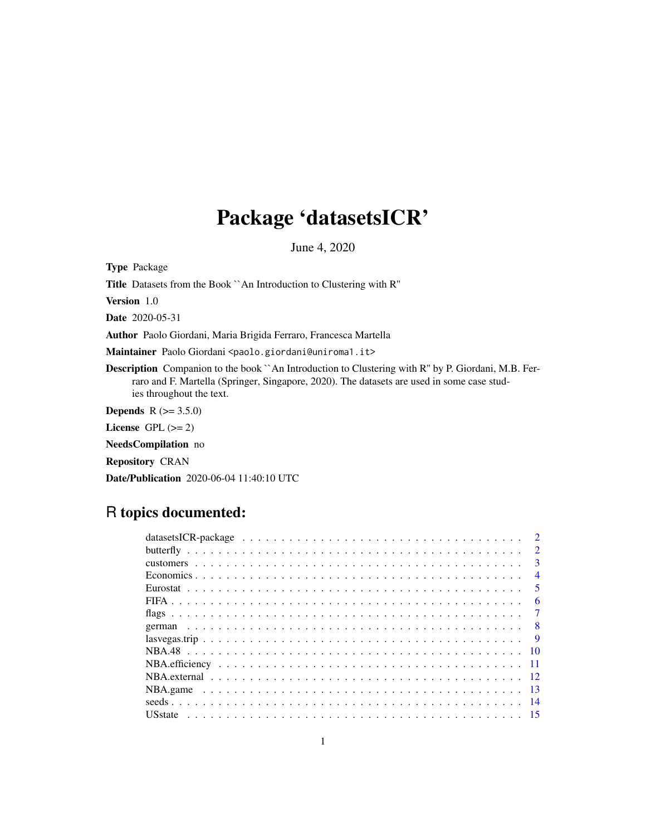## Package 'datasetsICR'

June 4, 2020

Type Package

Title Datasets from the Book ``An Introduction to Clustering with R''

Version 1.0

Date 2020-05-31

Author Paolo Giordani, Maria Brigida Ferraro, Francesca Martella

Maintainer Paolo Giordani <paolo.giordani@uniroma1.it>

Description Companion to the book `An Introduction to Clustering with R" by P. Giordani, M.B. Ferraro and F. Martella (Springer, Singapore, 2020). The datasets are used in some case studies throughout the text.

**Depends** R  $(>= 3.5.0)$ 

License GPL  $(>= 2)$ 

NeedsCompilation no

Repository CRAN

Date/Publication 2020-06-04 11:40:10 UTC

## R topics documented:

| datasets ICR-package $\ldots \ldots \ldots \ldots \ldots \ldots \ldots \ldots \ldots \ldots \ldots \ldots \ldots$ |  |  |  |  |  |  |  |  |  |  |  |  |  |  |  |  | $\overline{2}$          |
|-------------------------------------------------------------------------------------------------------------------|--|--|--|--|--|--|--|--|--|--|--|--|--|--|--|--|-------------------------|
|                                                                                                                   |  |  |  |  |  |  |  |  |  |  |  |  |  |  |  |  | $\mathcal{D}$           |
|                                                                                                                   |  |  |  |  |  |  |  |  |  |  |  |  |  |  |  |  | $\mathbf{R}$            |
|                                                                                                                   |  |  |  |  |  |  |  |  |  |  |  |  |  |  |  |  | $\overline{4}$          |
|                                                                                                                   |  |  |  |  |  |  |  |  |  |  |  |  |  |  |  |  | $\overline{\mathbf{5}}$ |
|                                                                                                                   |  |  |  |  |  |  |  |  |  |  |  |  |  |  |  |  | 6                       |
|                                                                                                                   |  |  |  |  |  |  |  |  |  |  |  |  |  |  |  |  | $\tau$                  |
|                                                                                                                   |  |  |  |  |  |  |  |  |  |  |  |  |  |  |  |  |                         |
|                                                                                                                   |  |  |  |  |  |  |  |  |  |  |  |  |  |  |  |  | $\overline{q}$          |
|                                                                                                                   |  |  |  |  |  |  |  |  |  |  |  |  |  |  |  |  |                         |
|                                                                                                                   |  |  |  |  |  |  |  |  |  |  |  |  |  |  |  |  |                         |
|                                                                                                                   |  |  |  |  |  |  |  |  |  |  |  |  |  |  |  |  |                         |
|                                                                                                                   |  |  |  |  |  |  |  |  |  |  |  |  |  |  |  |  |                         |
|                                                                                                                   |  |  |  |  |  |  |  |  |  |  |  |  |  |  |  |  |                         |
|                                                                                                                   |  |  |  |  |  |  |  |  |  |  |  |  |  |  |  |  |                         |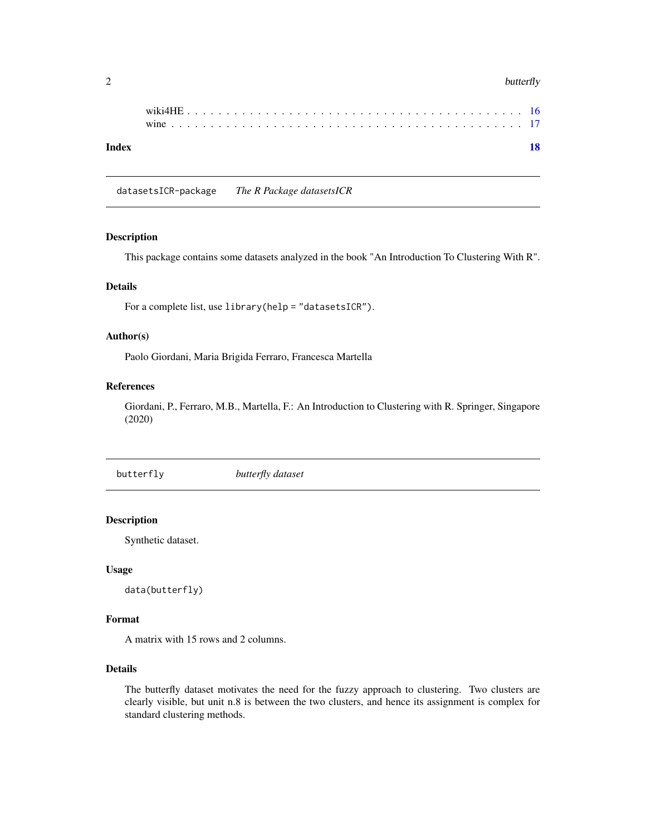#### <span id="page-1-0"></span> $2$  butterfly

| Index |  |  |  |  |  |  |  |  |  |  |  |  |  |  |  |  |  |  |
|-------|--|--|--|--|--|--|--|--|--|--|--|--|--|--|--|--|--|--|
|       |  |  |  |  |  |  |  |  |  |  |  |  |  |  |  |  |  |  |

datasetsICR-package *The R Package datasetsICR*

## Description

This package contains some datasets analyzed in the book "An Introduction To Clustering With R".

#### Details

For a complete list, use library(help = "datasetsICR").

## Author(s)

Paolo Giordani, Maria Brigida Ferraro, Francesca Martella

## References

Giordani, P., Ferraro, M.B., Martella, F.: An Introduction to Clustering with R. Springer, Singapore (2020)

butterfly *butterfly dataset*

## Description

Synthetic dataset.

## Usage

data(butterfly)

#### Format

A matrix with 15 rows and 2 columns.

## Details

The butterfly dataset motivates the need for the fuzzy approach to clustering. Two clusters are clearly visible, but unit n.8 is between the two clusters, and hence its assignment is complex for standard clustering methods.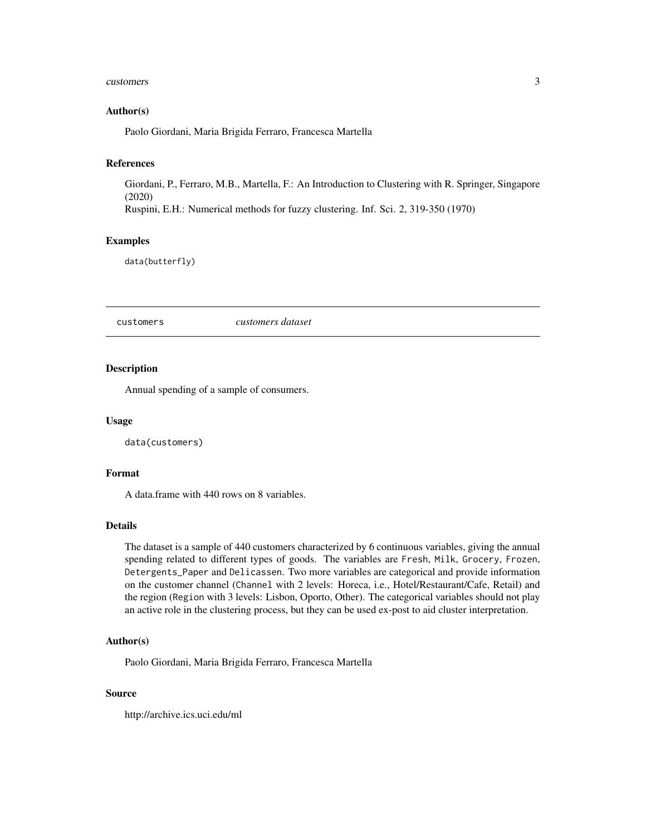#### <span id="page-2-0"></span>customers 3

## Author(s)

Paolo Giordani, Maria Brigida Ferraro, Francesca Martella

### References

Giordani, P., Ferraro, M.B., Martella, F.: An Introduction to Clustering with R. Springer, Singapore (2020)

Ruspini, E.H.: Numerical methods for fuzzy clustering. Inf. Sci. 2, 319-350 (1970)

## Examples

data(butterfly)

customers *customers dataset*

#### Description

Annual spending of a sample of consumers.

#### Usage

data(customers)

#### Format

A data.frame with 440 rows on 8 variables.

#### Details

The dataset is a sample of 440 customers characterized by 6 continuous variables, giving the annual spending related to different types of goods. The variables are Fresh, Milk, Grocery, Frozen, Detergents\_Paper and Delicassen. Two more variables are categorical and provide information on the customer channel (Channel with 2 levels: Horeca, i.e., Hotel/Restaurant/Cafe, Retail) and the region (Region with 3 levels: Lisbon, Oporto, Other). The categorical variables should not play an active role in the clustering process, but they can be used ex-post to aid cluster interpretation.

## Author(s)

Paolo Giordani, Maria Brigida Ferraro, Francesca Martella

#### Source

http://archive.ics.uci.edu/ml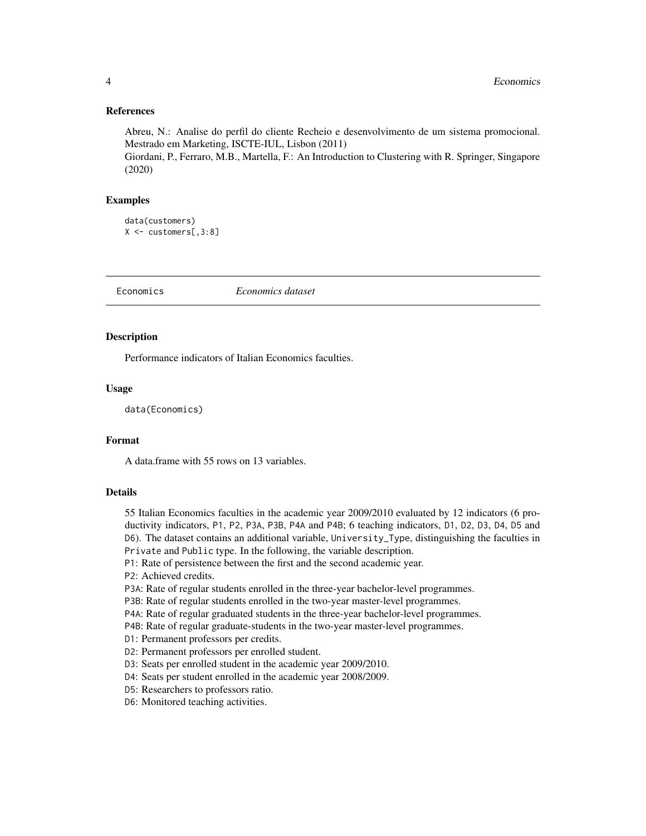#### <span id="page-3-0"></span>References

Abreu, N.: Analise do perfil do cliente Recheio e desenvolvimento de um sistema promocional. Mestrado em Marketing, ISCTE-IUL, Lisbon (2011)

Giordani, P., Ferraro, M.B., Martella, F.: An Introduction to Clustering with R. Springer, Singapore (2020)

#### Examples

```
data(customers)
X <- customers[,3:8]
```
Economics *Economics dataset*

#### Description

Performance indicators of Italian Economics faculties.

## Usage

data(Economics)

## Format

A data.frame with 55 rows on 13 variables.

#### Details

55 Italian Economics faculties in the academic year 2009/2010 evaluated by 12 indicators (6 productivity indicators, P1, P2, P3A, P3B, P4A and P4B; 6 teaching indicators, D1, D2, D3, D4, D5 and D6). The dataset contains an additional variable, University\_Type, distinguishing the faculties in Private and Public type. In the following, the variable description.

P1: Rate of persistence between the first and the second academic year.

P2: Achieved credits.

P3A: Rate of regular students enrolled in the three-year bachelor-level programmes.

P3B: Rate of regular students enrolled in the two-year master-level programmes.

P4A: Rate of regular graduated students in the three-year bachelor-level programmes.

P4B: Rate of regular graduate-students in the two-year master-level programmes.

D1: Permanent professors per credits.

D2: Permanent professors per enrolled student.

D3: Seats per enrolled student in the academic year 2009/2010.

D4: Seats per student enrolled in the academic year 2008/2009.

D5: Researchers to professors ratio.

D6: Monitored teaching activities.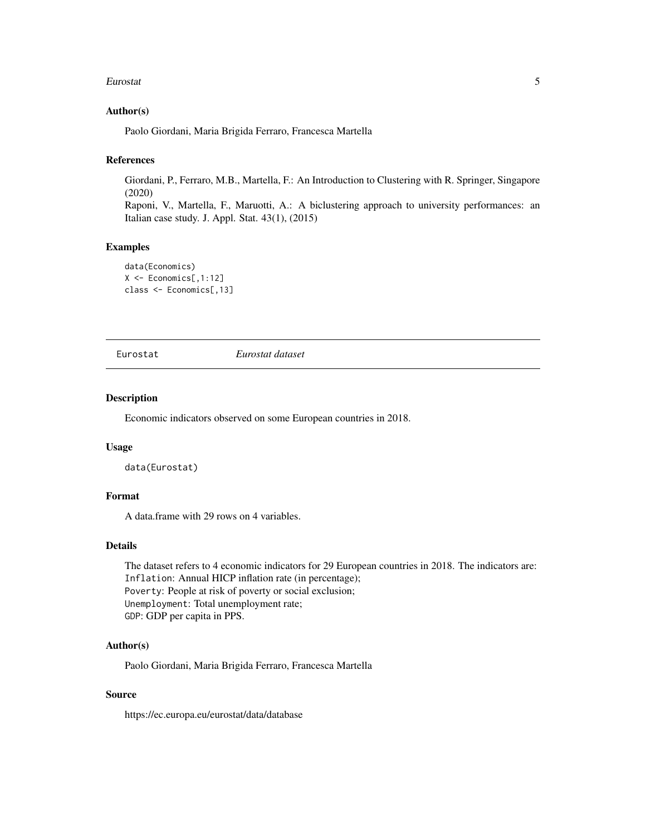#### <span id="page-4-0"></span>Eurostat 5

#### Author(s)

Paolo Giordani, Maria Brigida Ferraro, Francesca Martella

#### References

Giordani, P., Ferraro, M.B., Martella, F.: An Introduction to Clustering with R. Springer, Singapore (2020)

Raponi, V., Martella, F., Maruotti, A.: A biclustering approach to university performances: an Italian case study. J. Appl. Stat. 43(1), (2015)

#### Examples

```
data(Economics)
X <- Economics[,1:12]
class <- Economics[,13]
```
Eurostat *Eurostat dataset*

#### Description

Economic indicators observed on some European countries in 2018.

#### Usage

data(Eurostat)

## Format

A data.frame with 29 rows on 4 variables.

## Details

The dataset refers to 4 economic indicators for 29 European countries in 2018. The indicators are: Inflation: Annual HICP inflation rate (in percentage); Poverty: People at risk of poverty or social exclusion; Unemployment: Total unemployment rate; GDP: GDP per capita in PPS.

## Author(s)

Paolo Giordani, Maria Brigida Ferraro, Francesca Martella

## Source

https://ec.europa.eu/eurostat/data/database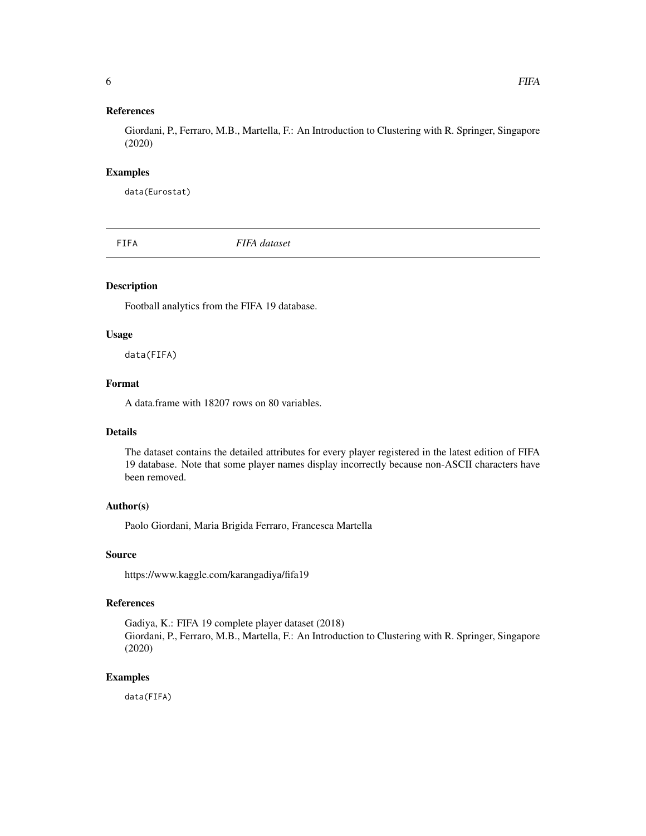## <span id="page-5-0"></span>References

Giordani, P., Ferraro, M.B., Martella, F.: An Introduction to Clustering with R. Springer, Singapore (2020)

#### Examples

data(Eurostat)

FIFA *FIFA dataset*

#### Description

Football analytics from the FIFA 19 database.

#### Usage

data(FIFA)

## Format

A data.frame with 18207 rows on 80 variables.

## Details

The dataset contains the detailed attributes for every player registered in the latest edition of FIFA 19 database. Note that some player names display incorrectly because non-ASCII characters have been removed.

## Author(s)

Paolo Giordani, Maria Brigida Ferraro, Francesca Martella

## Source

https://www.kaggle.com/karangadiya/fifa19

#### References

Gadiya, K.: FIFA 19 complete player dataset (2018) Giordani, P., Ferraro, M.B., Martella, F.: An Introduction to Clustering with R. Springer, Singapore (2020)

#### Examples

data(FIFA)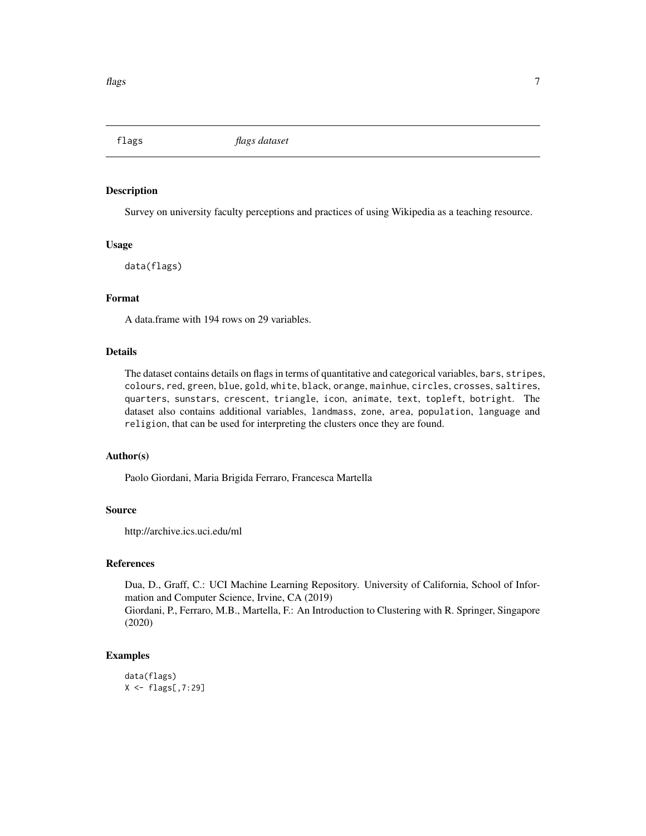<span id="page-6-0"></span>

Survey on university faculty perceptions and practices of using Wikipedia as a teaching resource.

#### Usage

data(flags)

#### Format

A data.frame with 194 rows on 29 variables.

## Details

The dataset contains details on flags in terms of quantitative and categorical variables, bars, stripes, colours, red, green, blue, gold, white, black, orange, mainhue, circles, crosses, saltires, quarters, sunstars, crescent, triangle, icon, animate, text, topleft, botright. The dataset also contains additional variables, landmass, zone, area, population, language and religion, that can be used for interpreting the clusters once they are found.

#### Author(s)

Paolo Giordani, Maria Brigida Ferraro, Francesca Martella

## Source

http://archive.ics.uci.edu/ml

## References

Dua, D., Graff, C.: UCI Machine Learning Repository. University of California, School of Information and Computer Science, Irvine, CA (2019) Giordani, P., Ferraro, M.B., Martella, F.: An Introduction to Clustering with R. Springer, Singapore

(2020)

## Examples

```
data(flags)
X <- flags[,7:29]
```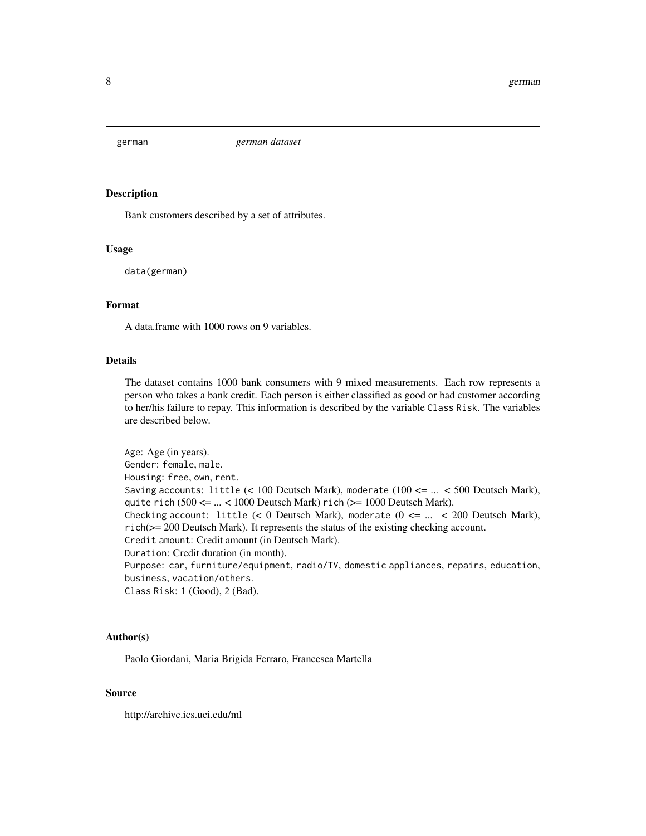<span id="page-7-0"></span>

Bank customers described by a set of attributes.

## Usage

data(german)

#### Format

A data.frame with 1000 rows on 9 variables.

## Details

The dataset contains 1000 bank consumers with 9 mixed measurements. Each row represents a person who takes a bank credit. Each person is either classified as good or bad customer according to her/his failure to repay. This information is described by the variable Class Risk. The variables are described below.

Age: Age (in years). Gender: female, male. Housing: free, own, rent. Saving accounts: little  $(< 100$  Deutsch Mark), moderate  $(100 \leq ... \leq 500$  Deutsch Mark), quite rich  $(500 \leq ... \leq 1000$  Deutsch Mark) rich  $(>= 1000$  Deutsch Mark). Checking account: little  $(< 0$  Deutsch Mark), moderate  $(0 \leq ... \leq 200$  Deutsch Mark), rich(>= 200 Deutsch Mark). It represents the status of the existing checking account. Credit amount: Credit amount (in Deutsch Mark). Duration: Credit duration (in month). Purpose: car, furniture/equipment, radio/TV, domestic appliances, repairs, education, business, vacation/others. Class Risk: 1 (Good), 2 (Bad).

#### Author(s)

Paolo Giordani, Maria Brigida Ferraro, Francesca Martella

#### Source

http://archive.ics.uci.edu/ml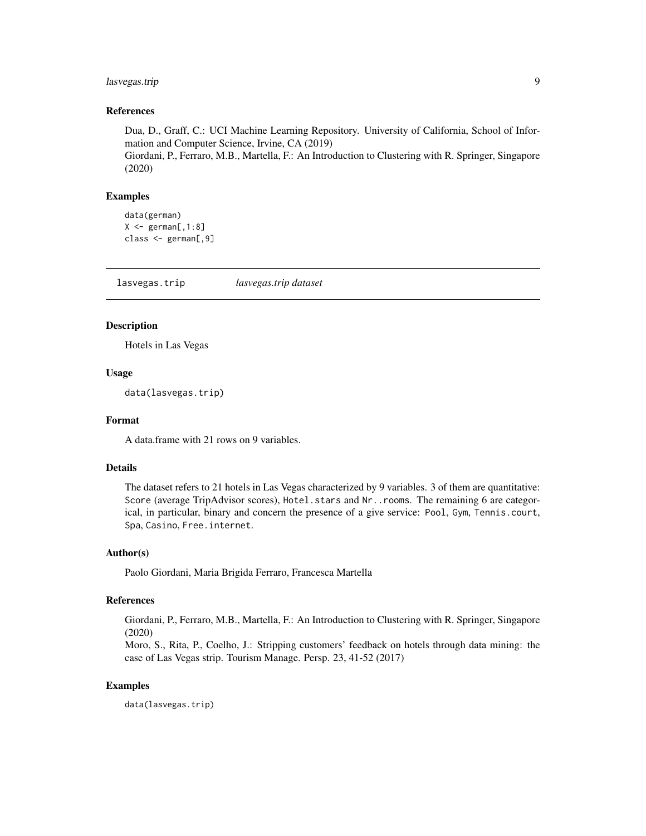## <span id="page-8-0"></span>lasvegas.trip 9

## References

Dua, D., Graff, C.: UCI Machine Learning Repository. University of California, School of Information and Computer Science, Irvine, CA (2019)

Giordani, P., Ferraro, M.B., Martella, F.: An Introduction to Clustering with R. Springer, Singapore (2020)

## Examples

```
data(german)
X \leftarrow german[,1:8]
class <- german[,9]
```
lasvegas.trip *lasvegas.trip dataset*

## Description

Hotels in Las Vegas

### Usage

data(lasvegas.trip)

#### Format

A data.frame with 21 rows on 9 variables.

#### Details

The dataset refers to 21 hotels in Las Vegas characterized by 9 variables. 3 of them are quantitative: Score (average TripAdvisor scores), Hotel.stars and Nr..rooms. The remaining 6 are categorical, in particular, binary and concern the presence of a give service: Pool, Gym, Tennis.court, Spa, Casino, Free.internet.

## Author(s)

Paolo Giordani, Maria Brigida Ferraro, Francesca Martella

## References

Giordani, P., Ferraro, M.B., Martella, F.: An Introduction to Clustering with R. Springer, Singapore (2020)

Moro, S., Rita, P., Coelho, J.: Stripping customers' feedback on hotels through data mining: the case of Las Vegas strip. Tourism Manage. Persp. 23, 41-52 (2017)

## Examples

data(lasvegas.trip)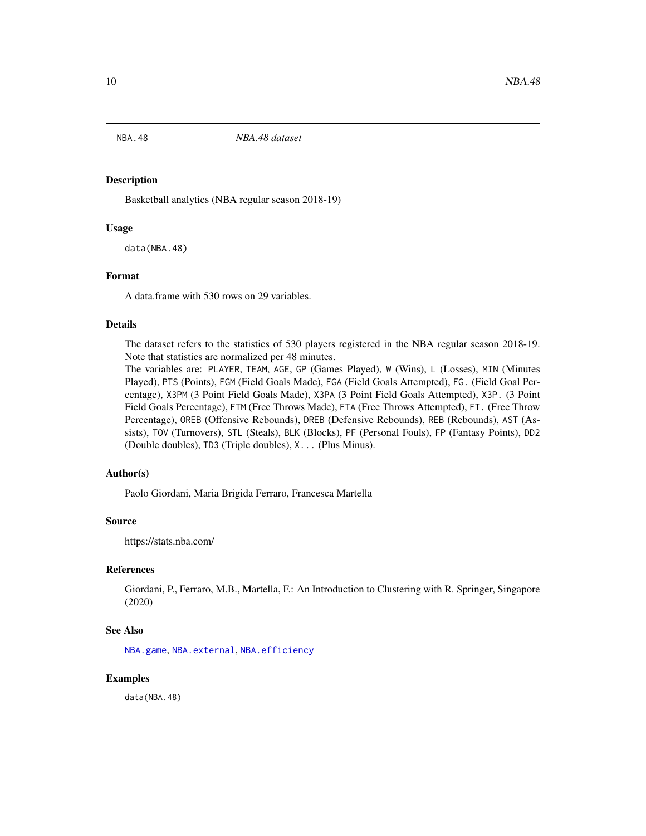<span id="page-9-1"></span><span id="page-9-0"></span>

Basketball analytics (NBA regular season 2018-19)

#### Usage

data(NBA.48)

#### Format

A data.frame with 530 rows on 29 variables.

## Details

The dataset refers to the statistics of 530 players registered in the NBA regular season 2018-19. Note that statistics are normalized per 48 minutes.

The variables are: PLAYER, TEAM, AGE, GP (Games Played), W (Wins), L (Losses), MIN (Minutes Played), PTS (Points), FGM (Field Goals Made), FGA (Field Goals Attempted), FG. (Field Goal Percentage), X3PM (3 Point Field Goals Made), X3PA (3 Point Field Goals Attempted), X3P. (3 Point Field Goals Percentage), FTM (Free Throws Made), FTA (Free Throws Attempted), FT. (Free Throw Percentage), OREB (Offensive Rebounds), DREB (Defensive Rebounds), REB (Rebounds), AST (Assists), TOV (Turnovers), STL (Steals), BLK (Blocks), PF (Personal Fouls), FP (Fantasy Points), DD2 (Double doubles), TD3 (Triple doubles), X... (Plus Minus).

#### Author(s)

Paolo Giordani, Maria Brigida Ferraro, Francesca Martella

## Source

https://stats.nba.com/

## References

Giordani, P., Ferraro, M.B., Martella, F.: An Introduction to Clustering with R. Springer, Singapore (2020)

#### See Also

[NBA.game](#page-12-1), [NBA.external](#page-11-1), [NBA.efficiency](#page-10-1)

## Examples

data(NBA.48)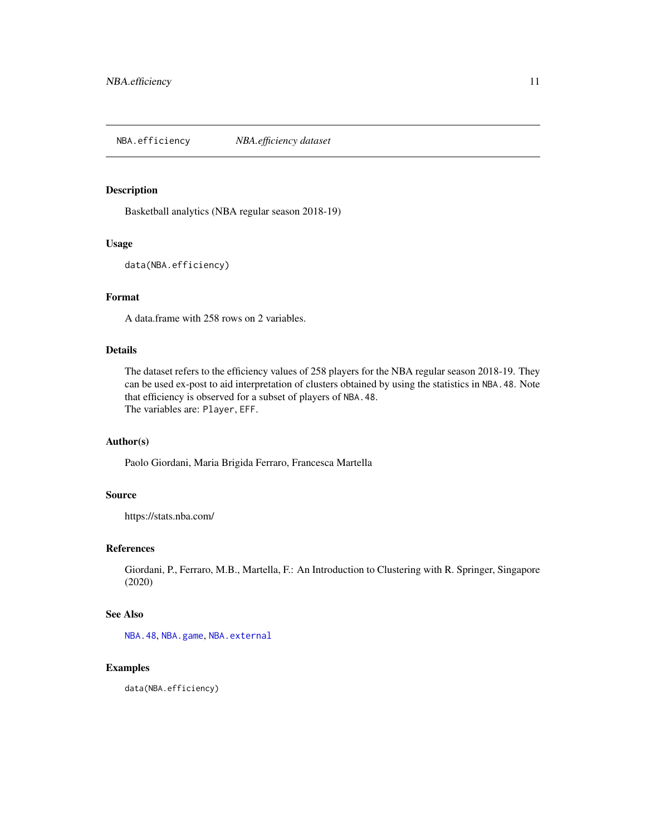<span id="page-10-1"></span><span id="page-10-0"></span>NBA.efficiency *NBA.efficiency dataset*

## Description

Basketball analytics (NBA regular season 2018-19)

## Usage

data(NBA.efficiency)

## Format

A data.frame with 258 rows on 2 variables.

## Details

The dataset refers to the efficiency values of 258 players for the NBA regular season 2018-19. They can be used ex-post to aid interpretation of clusters obtained by using the statistics in NBA.48. Note that efficiency is observed for a subset of players of NBA.48. The variables are: Player, EFF.

## Author(s)

Paolo Giordani, Maria Brigida Ferraro, Francesca Martella

#### Source

https://stats.nba.com/

#### References

Giordani, P., Ferraro, M.B., Martella, F.: An Introduction to Clustering with R. Springer, Singapore (2020)

#### See Also

[NBA.48](#page-9-1), [NBA.game](#page-12-1), [NBA.external](#page-11-1)

## Examples

data(NBA.efficiency)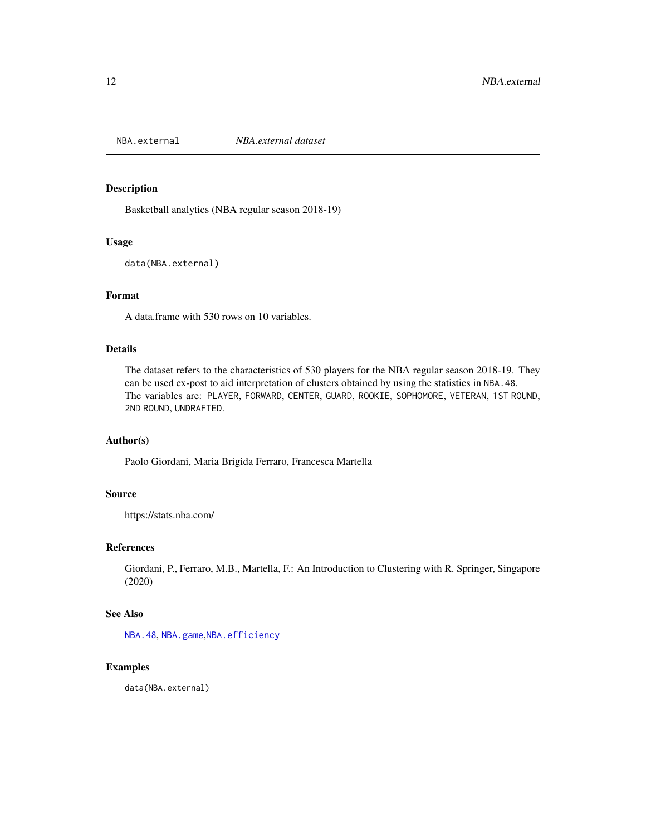<span id="page-11-1"></span><span id="page-11-0"></span>

Basketball analytics (NBA regular season 2018-19)

#### Usage

data(NBA.external)

## Format

A data.frame with 530 rows on 10 variables.

## Details

The dataset refers to the characteristics of 530 players for the NBA regular season 2018-19. They can be used ex-post to aid interpretation of clusters obtained by using the statistics in NBA.48. The variables are: PLAYER, FORWARD, CENTER, GUARD, ROOKIE, SOPHOMORE, VETERAN, 1ST ROUND, 2ND ROUND, UNDRAFTED.

## Author(s)

Paolo Giordani, Maria Brigida Ferraro, Francesca Martella

## Source

https://stats.nba.com/

## References

Giordani, P., Ferraro, M.B., Martella, F.: An Introduction to Clustering with R. Springer, Singapore (2020)

#### See Also

[NBA.48](#page-9-1), [NBA.game](#page-12-1),[NBA.efficiency](#page-10-1)

## Examples

data(NBA.external)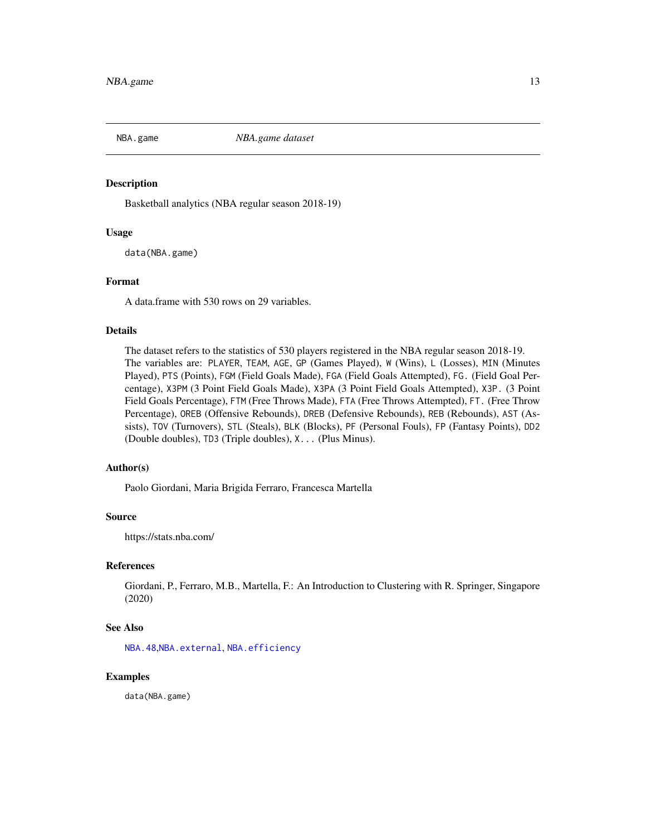<span id="page-12-1"></span><span id="page-12-0"></span>

Basketball analytics (NBA regular season 2018-19)

## Usage

data(NBA.game)

### Format

A data.frame with 530 rows on 29 variables.

## Details

The dataset refers to the statistics of 530 players registered in the NBA regular season 2018-19. The variables are: PLAYER, TEAM, AGE, GP (Games Played), W (Wins), L (Losses), MIN (Minutes Played), PTS (Points), FGM (Field Goals Made), FGA (Field Goals Attempted), FG. (Field Goal Percentage), X3PM (3 Point Field Goals Made), X3PA (3 Point Field Goals Attempted), X3P. (3 Point Field Goals Percentage), FTM (Free Throws Made), FTA (Free Throws Attempted), FT. (Free Throw Percentage), OREB (Offensive Rebounds), DREB (Defensive Rebounds), REB (Rebounds), AST (Assists), TOV (Turnovers), STL (Steals), BLK (Blocks), PF (Personal Fouls), FP (Fantasy Points), DD2 (Double doubles), TD3 (Triple doubles), X... (Plus Minus).

#### Author(s)

Paolo Giordani, Maria Brigida Ferraro, Francesca Martella

## Source

https://stats.nba.com/

## References

Giordani, P., Ferraro, M.B., Martella, F.: An Introduction to Clustering with R. Springer, Singapore (2020)

## See Also

[NBA.48](#page-9-1),[NBA.external](#page-11-1), [NBA.efficiency](#page-10-1)

## Examples

data(NBA.game)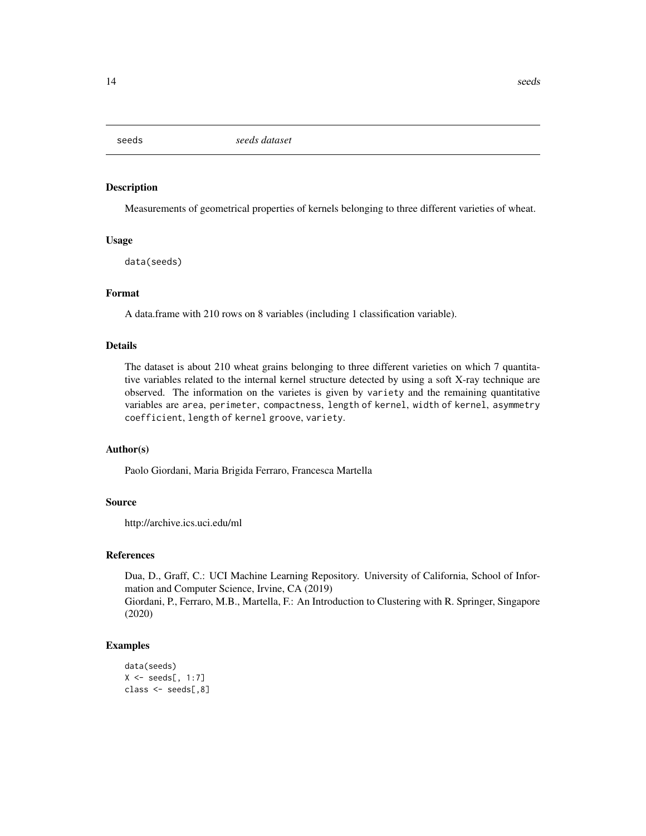<span id="page-13-0"></span>

Measurements of geometrical properties of kernels belonging to three different varieties of wheat.

#### Usage

data(seeds)

## Format

A data.frame with 210 rows on 8 variables (including 1 classification variable).

#### Details

The dataset is about 210 wheat grains belonging to three different varieties on which 7 quantitative variables related to the internal kernel structure detected by using a soft X-ray technique are observed. The information on the varietes is given by variety and the remaining quantitative variables are area, perimeter, compactness, length of kernel, width of kernel, asymmetry coefficient, length of kernel groove, variety.

#### Author(s)

Paolo Giordani, Maria Brigida Ferraro, Francesca Martella

## Source

http://archive.ics.uci.edu/ml

#### References

Dua, D., Graff, C.: UCI Machine Learning Repository. University of California, School of Information and Computer Science, Irvine, CA (2019)

Giordani, P., Ferraro, M.B., Martella, F.: An Introduction to Clustering with R. Springer, Singapore (2020)

#### Examples

```
data(seeds)
X \leftarrow seeds[, 1:7]
class <- seeds[,8]
```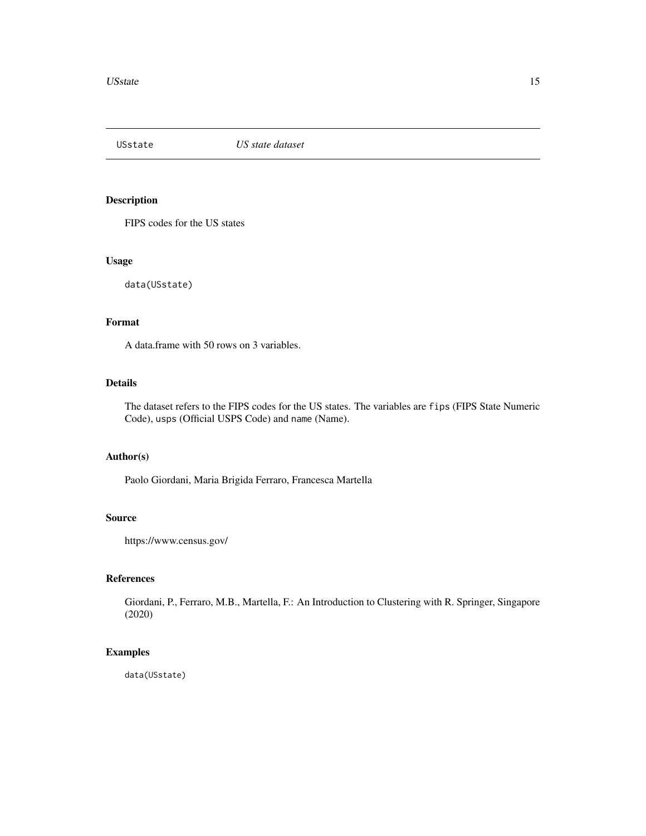<span id="page-14-0"></span>

FIPS codes for the US states

## Usage

data(USstate)

## Format

A data.frame with 50 rows on 3 variables.

## Details

The dataset refers to the FIPS codes for the US states. The variables are fips (FIPS State Numeric Code), usps (Official USPS Code) and name (Name).

#### Author(s)

Paolo Giordani, Maria Brigida Ferraro, Francesca Martella

## Source

https://www.census.gov/

## References

Giordani, P., Ferraro, M.B., Martella, F.: An Introduction to Clustering with R. Springer, Singapore (2020)

## Examples

data(USstate)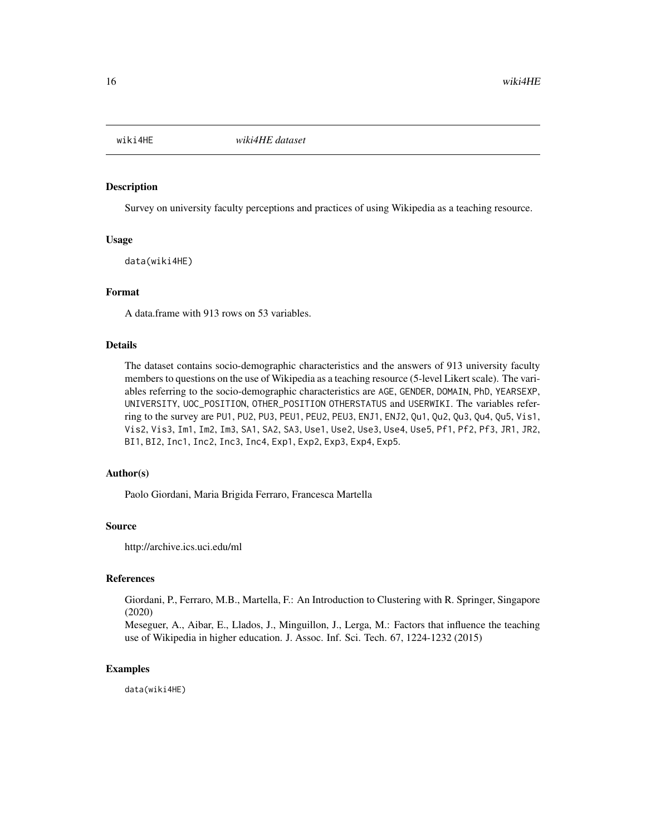<span id="page-15-0"></span>

Survey on university faculty perceptions and practices of using Wikipedia as a teaching resource.

#### Usage

data(wiki4HE)

#### Format

A data.frame with 913 rows on 53 variables.

#### Details

The dataset contains socio-demographic characteristics and the answers of 913 university faculty members to questions on the use of Wikipedia as a teaching resource (5-level Likert scale). The variables referring to the socio-demographic characteristics are AGE, GENDER, DOMAIN, PhD, YEARSEXP, UNIVERSITY, UOC\_POSITION, OTHER\_POSITION OTHERSTATUS and USERWIKI. The variables referring to the survey are PU1, PU2, PU3, PEU1, PEU2, PEU3, ENJ1, ENJ2, Qu1, Qu2, Qu3, Qu4, Qu5, Vis1, Vis2, Vis3, Im1, Im2, Im3, SA1, SA2, SA3, Use1, Use2, Use3, Use4, Use5, Pf1, Pf2, Pf3, JR1, JR2, BI1, BI2, Inc1, Inc2, Inc3, Inc4, Exp1, Exp2, Exp3, Exp4, Exp5.

#### Author(s)

Paolo Giordani, Maria Brigida Ferraro, Francesca Martella

#### Source

http://archive.ics.uci.edu/ml

#### References

Giordani, P., Ferraro, M.B., Martella, F.: An Introduction to Clustering with R. Springer, Singapore (2020)

Meseguer, A., Aibar, E., Llados, J., Minguillon, J., Lerga, M.: Factors that influence the teaching use of Wikipedia in higher education. J. Assoc. Inf. Sci. Tech. 67, 1224-1232 (2015)

#### Examples

data(wiki4HE)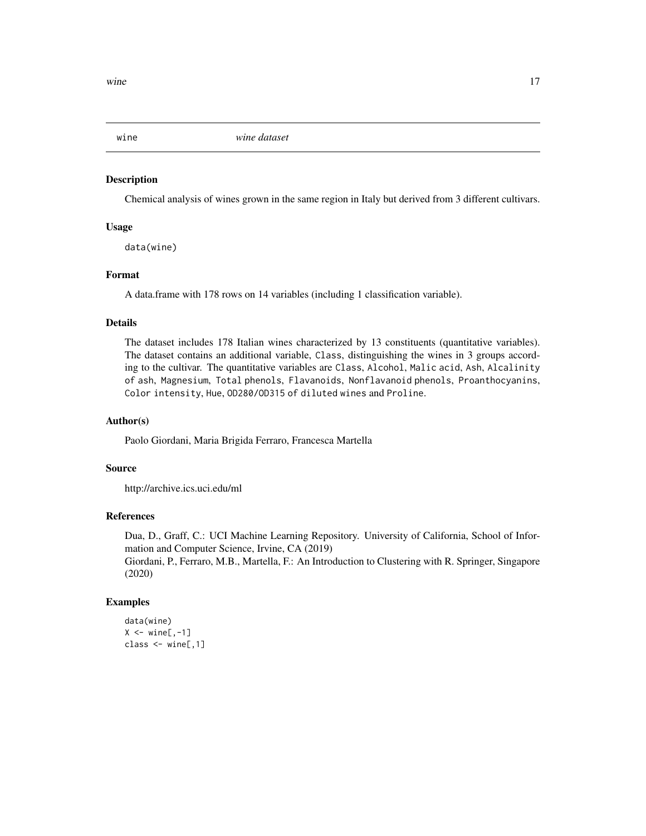<span id="page-16-0"></span>

Chemical analysis of wines grown in the same region in Italy but derived from 3 different cultivars.

## Usage

data(wine)

## Format

A data.frame with 178 rows on 14 variables (including 1 classification variable).

#### Details

The dataset includes 178 Italian wines characterized by 13 constituents (quantitative variables). The dataset contains an additional variable, Class, distinguishing the wines in 3 groups according to the cultivar. The quantitative variables are Class, Alcohol, Malic acid, Ash, Alcalinity of ash, Magnesium, Total phenols, Flavanoids, Nonflavanoid phenols, Proanthocyanins, Color intensity, Hue, OD280/OD315 of diluted wines and Proline.

#### Author(s)

Paolo Giordani, Maria Brigida Ferraro, Francesca Martella

## Source

http://archive.ics.uci.edu/ml

## References

Dua, D., Graff, C.: UCI Machine Learning Repository. University of California, School of Information and Computer Science, Irvine, CA (2019) Giordani, P., Ferraro, M.B., Martella, F.: An Introduction to Clustering with R. Springer, Singapore (2020)

#### Examples

```
data(wine)
X \leftarrow \text{wine}[, -1]class \le wine[,1]
```